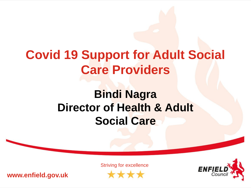# **Covid 19 Support for Adult Social Care Providers**

### **Bindi Nagra Director of Health & Adult Social Care**

**www.enfield.gov.uk**

Striving for excellence\*\*\*

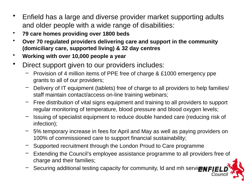- Enfield has a large and diverse provider market supporting adults and older people with a wide range of disabilities:
- **79 care homes providing over 1800 beds**
- **Over 70 regulated providers delivering care and support in the community (domiciliary care, supported living) & 32 day centres**
- **Working with over 10,000 people a year**
- Direct support given to our providers includes:
	- Provision of 4 million items of PPE free of charge & £1000 emergency ppe grants to all of our providers;
	- Delivery of IT equipment (tablets) free of charge to all providers to help families/ staff maintain contact/access on-line training webinars;
	- Free distribution of vital signs equipment and training to all providers to support regular monitoring of temperature, blood pressure and blood oxygen levels;
	- Issuing of specialist equipment to reduce double handed care (reducing risk of infection);
	- 5% temporary increase in fees for April and May as well as paying providers on 100% of commissioned care to support financial sustainability;
	- Supported recruitment through the London Proud to Care programme
	- Extending the Council's employee assistance programme to all providers free of charge and their families;
	- Securing additional testing capacity for community, Id and mh servicenFIE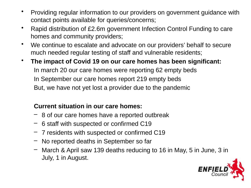- Providing regular information to our providers on government guidance with contact points available for queries/concerns;
- Rapid distribution of £2.6m government Infection Control Funding to care homes and community providers;
- We continue to escalate and advocate on our providers' behalf to secure much needed regular testing of staff and vulnerable residents;
- **The impact of Covid 19 on our care homes has been significant:** In march 20 our care homes were reporting 62 empty beds In September our care homes report 219 empty beds But, we have not yet lost a provider due to the pandemic

#### **Current situation in our care homes:**

- 8 of our care homes have a reported outbreak
- 6 staff with suspected or confirmed C19
- 7 residents with suspected or confirmed C19
- No reported deaths in September so far
- March & April saw 139 deaths reducing to 16 in May, 5 in June, 3 in July, 1 in August.

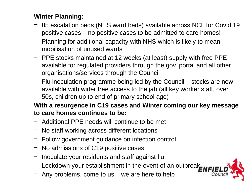#### **Winter Planning:**

- 85 escalation beds (NHS ward beds) available across NCL for Covid 19 positive cases – no positive cases to be admitted to care homes!
- Planning for additional capacity with NHS which is likely to mean mobilisation of unused wards
- PPE stocks maintained at 12 weeks (at least) supply with free PPE available for regulated providers through the gov. portal and all other organisations/services through the Council
- $-$  Flu inoculation programme being led by the Council stocks are now available with wider free access to the jab (all key worker staff, over 50s, children up to end of primary school age)

#### **With a resurgence in C19 cases and Winter coming our key message to care homes continues to be:**

- Additional PPE needs will continue to be met
- No staff working across different locations
- Follow government guidance on infection control
- No admissions of C19 positive cases
- Inoculate your residents and staff against flu
- Lockdown your establishment in the event of an outbreak
- Any problems, come to us we are here to help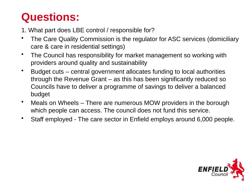## **Questions:**

1. What part does LBE control / responsible for?

- The Care Quality Commission is the regulator for ASC services (domiciliary care & care in residential settings)
- The Council has responsibility for market management so working with providers around quality and sustainability
- Budget cuts central government allocates funding to local authorities through the Revenue Grant – as this has been significantly reduced so Councils have to deliver a programme of savings to deliver a balanced budget
- Meals on Wheels There are numerous MOW providers in the borough which people can access. The council does not fund this service.
- Staff employed The care sector in Enfield employs around 6,000 people.

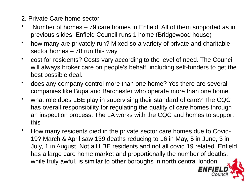- 2. Private Care home sector
- Number of homes 79 care homes in Enfield. All of them supported as in previous slides. Enfield Council runs 1 home (Bridgewood house)
- how many are privately run? Mixed so a variety of private and charitable sector homes – 78 run this way
- cost for residents? Costs vary according to the level of need. The Council will always broker care on people's behalf, including self-funders to get the best possible deal.
- does any company control more than one home? Yes there are several companies like Bupa and Barchester who operate more than one home.
- what role does LBE play in supervising their standard of care? The CQC has overall responsibility for regulating the quality of care homes through an inspection process. The LA works with the CQC and homes to support this
- How many residents died in the private sector care homes due to Covid-19? March & April saw 139 deaths reducing to 16 in May, 5 in June, 3 in July, 1 in August. Not all LBE residents and not all covid 19 related. Enfield has a large care home market and proportionally the number of deaths, while truly awful, is similar to other boroughs in north central london.

**ENFIE**